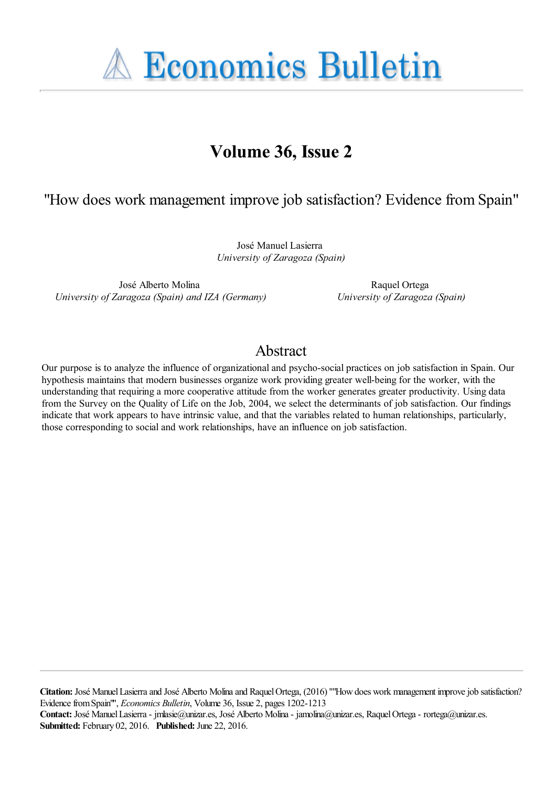**A Economics Bulletin** 

# **Volume 36, Issue 2**

# "How does work management improve job satisfaction? Evidence from Spain"

José Manuel Lasierra *University of Zaragoza (Spain)*

José Alberto Molina *University of Zaragoza (Spain) and IZA (Germany)*

Raquel Ortega *University of Zaragoza (Spain)*

## Abstract

Our purpose is to analyze the influence of organizational and psycho-social practices on job satisfaction in Spain. Our hypothesis maintains that modern businesses organize work providing greater well-being for the worker, with the understanding that requiring a more cooperative attitude from the worker generates greater productivity. Using data from the Survey on the Quality of Life on the Job, 2004, we select the determinants of job satisfaction. Our findings indicate that work appears to have intrinsic value, and that the variables related to human relationships, particularly, those corresponding to social and work relationships, have an influence on job satisfaction.

**Citation:** José Manuel Lasierra and José Alberto Molina and Raquel Ortega, (2016) ''"How does work management improve job satisfaction? Evidence from Spain"'', *Economics Bulletin*, Volume 36, Issue 2, pages 1202-1213 **Contact:** José Manuel Lasierra - jmlasie@unizar.es, José Alberto Molina - jamolina@unizar.es, Raquel Ortega - rortega@unizar.es. **Submitted:** February 02, 2016. **Published:** June 22, 2016.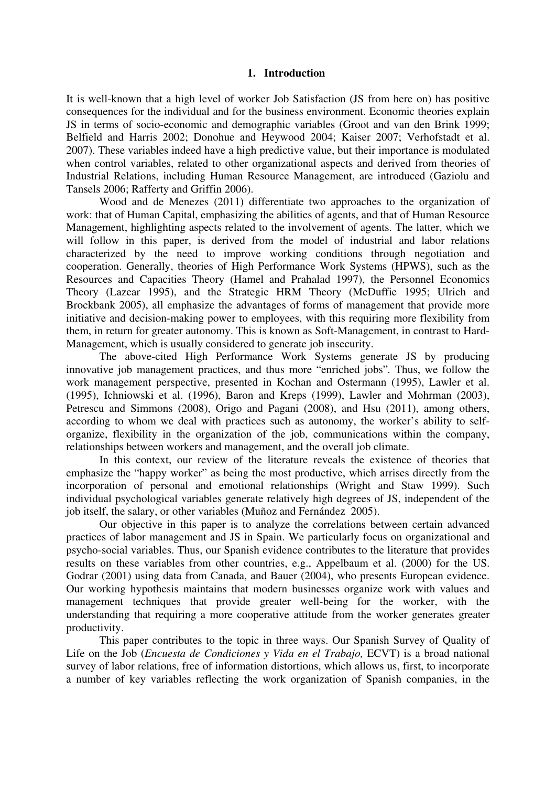### **1. Introduction**

It is well-known that a high level of worker Job Satisfaction (JS from here on) has positive consequences for the individual and for the business environment. Economic theories explain JS in terms of socio-economic and demographic variables (Groot and van den Brink 1999; Belfield and Harris 2002; Donohue and Heywood 2004; Kaiser 2007; Verhofstadt et al. 2007). These variables indeed have a high predictive value, but their importance is modulated when control variables, related to other organizational aspects and derived from theories of Industrial Relations, including Human Resource Management, are introduced (Gaziolu and Tansels 2006; Rafferty and Griffin 2006).

Wood and de Menezes (2011) differentiate two approaches to the organization of work: that of Human Capital, emphasizing the abilities of agents, and that of Human Resource Management, highlighting aspects related to the involvement of agents. The latter, which we will follow in this paper, is derived from the model of industrial and labor relations characterized by the need to improve working conditions through negotiation and cooperation. Generally, theories of High Performance Work Systems (HPWS), such as the Resources and Capacities Theory (Hamel and Prahalad 1997), the Personnel Economics Theory (Lazear 1995), and the Strategic HRM Theory (McDuffie 1995; Ulrich and Brockbank 2005), all emphasize the advantages of forms of management that provide more initiative and decision-making power to employees, with this requiring more flexibility from them, in return for greater autonomy. This is known as Soft-Management, in contrast to Hard-Management, which is usually considered to generate job insecurity.

The above-cited High Performance Work Systems generate JS by producing innovative job management practices, and thus more "enriched jobs"*.* Thus, we follow the work management perspective, presented in Kochan and Ostermann (1995), Lawler et al. (1995), Ichniowski et al. (1996), Baron and Kreps (1999), Lawler and Mohrman (2003), Petrescu and Simmons (2008), Origo and Pagani (2008), and Hsu (2011), among others, according to whom we deal with practices such as autonomy, the worker's ability to selforganize, flexibility in the organization of the job, communications within the company, relationships between workers and management, and the overall job climate.

In this context, our review of the literature reveals the existence of theories that emphasize the "happy worker" as being the most productive, which arrises directly from the incorporation of personal and emotional relationships (Wright and Staw 1999). Such individual psychological variables generate relatively high degrees of JS, independent of the job itself, the salary, or other variables (Muñoz and Fernández 2005).

Our objective in this paper is to analyze the correlations between certain advanced practices of labor management and JS in Spain. We particularly focus on organizational and psycho-social variables. Thus, our Spanish evidence contributes to the literature that provides results on these variables from other countries, e.g., Appelbaum et al. (2000) for the US. Godrar (2001) using data from Canada, and Bauer (2004), who presents European evidence. Our working hypothesis maintains that modern businesses organize work with values and management techniques that provide greater well-being for the worker, with the understanding that requiring a more cooperative attitude from the worker generates greater productivity.

This paper contributes to the topic in three ways. Our Spanish Survey of Quality of Life on the Job (*Encuesta de Condiciones y Vida en el Trabajo,* ECVT) is a broad national survey of labor relations, free of information distortions, which allows us, first, to incorporate a number of key variables reflecting the work organization of Spanish companies, in the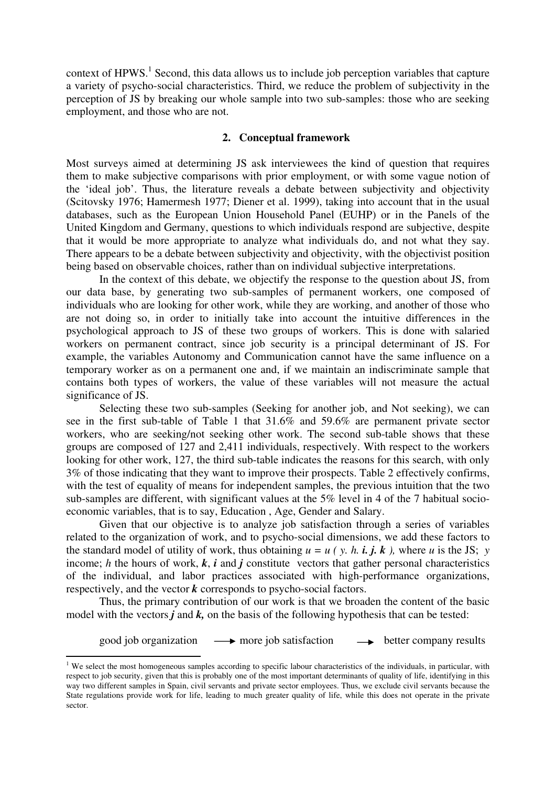context of  $HPWS$ <sup>1</sup>. Second, this data allows us to include job perception variables that capture a variety of psycho-social characteristics. Third, we reduce the problem of subjectivity in the perception of JS by breaking our whole sample into two sub-samples: those who are seeking employment, and those who are not.

### **2. Conceptual framework**

Most surveys aimed at determining JS ask interviewees the kind of question that requires them to make subjective comparisons with prior employment, or with some vague notion of the 'ideal job'. Thus, the literature reveals a debate between subjectivity and objectivity (Scitovsky 1976; Hamermesh 1977; Diener et al. 1999), taking into account that in the usual databases, such as the European Union Household Panel (EUHP) or in the Panels of the United Kingdom and Germany, questions to which individuals respond are subjective, despite that it would be more appropriate to analyze what individuals do, and not what they say. There appears to be a debate between subjectivity and objectivity, with the objectivist position being based on observable choices, rather than on individual subjective interpretations.

In the context of this debate, we objectify the response to the question about JS, from our data base, by generating two sub-samples of permanent workers, one composed of individuals who are looking for other work, while they are working, and another of those who are not doing so, in order to initially take into account the intuitive differences in the psychological approach to JS of these two groups of workers. This is done with salaried workers on permanent contract, since job security is a principal determinant of JS. For example, the variables Autonomy and Communication cannot have the same influence on a temporary worker as on a permanent one and, if we maintain an indiscriminate sample that contains both types of workers, the value of these variables will not measure the actual significance of JS.

Selecting these two sub-samples (Seeking for another job, and Not seeking), we can see in the first sub-table of Table 1 that 31.6% and 59.6% are permanent private sector workers, who are seeking/not seeking other work. The second sub-table shows that these groups are composed of 127 and 2,411 individuals, respectively. With respect to the workers looking for other work, 127, the third sub-table indicates the reasons for this search, with only 3% of those indicating that they want to improve their prospects. Table 2 effectively confirms, with the test of equality of means for independent samples, the previous intuition that the two sub-samples are different, with significant values at the 5% level in 4 of the 7 habitual socioeconomic variables, that is to say, Education , Age, Gender and Salary.

Given that our objective is to analyze job satisfaction through a series of variables related to the organization of work, and to psycho-social dimensions, we add these factors to the standard model of utility of work, thus obtaining  $u = u$  (*y. h. i. j. k)*, where *u* is the JS; *y* income; *h* the hours of work,  $k$ ,  $i$  and  $j$  constitute vectors that gather personal characteristics of the individual, and labor practices associated with high-performance organizations, respectively, and the vector *k* corresponds to psycho-social factors.

Thus, the primary contribution of our work is that we broaden the content of the basic model with the vectors  $j$  and  $k$ , on the basis of the following hypothesis that can be tested:

good job organization  $\longrightarrow$  more job satisfaction  $\longrightarrow$  better company results

-

 $1$  We select the most homogeneous samples according to specific labour characteristics of the individuals, in particular, with respect to job security, given that this is probably one of the most important determinants of quality of life, identifying in this way two different samples in Spain, civil servants and private sector employees. Thus, we exclude civil servants because the State regulations provide work for life, leading to much greater quality of life, while this does not operate in the private sector.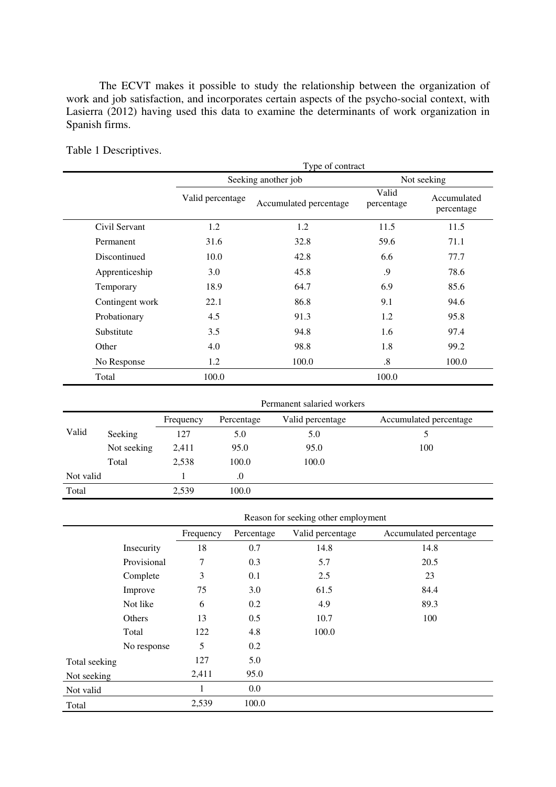The ECVT makes it possible to study the relationship between the organization of work and job satisfaction, and incorporates certain aspects of the psycho-social context, with Lasierra (2012) having used this data to examine the determinants of work organization in Spanish firms.

|                 | Type of contract |                        |                     |                           |  |  |  |
|-----------------|------------------|------------------------|---------------------|---------------------------|--|--|--|
|                 |                  | Seeking another job    |                     | Not seeking               |  |  |  |
|                 | Valid percentage | Accumulated percentage | Valid<br>percentage | Accumulated<br>percentage |  |  |  |
| Civil Servant   | 1.2              | 1.2                    | 11.5                | 11.5                      |  |  |  |
| Permanent       | 31.6             | 32.8                   | 59.6                | 71.1                      |  |  |  |
| Discontinued    | 10.0             | 42.8                   | 6.6                 | 77.7                      |  |  |  |
| Apprenticeship  | 3.0              | 45.8                   | .9                  | 78.6                      |  |  |  |
| Temporary       | 18.9             | 64.7                   | 6.9                 | 85.6                      |  |  |  |
| Contingent work | 22.1             | 86.8                   | 9.1                 | 94.6                      |  |  |  |
| Probationary    | 4.5              | 91.3                   | 1.2                 | 95.8                      |  |  |  |
| Substitute      | 3.5              | 94.8                   | 1.6                 | 97.4                      |  |  |  |
| Other           | 4.0              | 98.8                   | 1.8                 | 99.2                      |  |  |  |
| No Response     | 1.2              | 100.0                  | $\boldsymbol{.8}$   | 100.0                     |  |  |  |
| Total           | 100.0            |                        | 100.0               |                           |  |  |  |

Table 1 Descriptives.

|           |             | Permanent salaried workers                                            |       |       |     |  |  |  |
|-----------|-------------|-----------------------------------------------------------------------|-------|-------|-----|--|--|--|
|           |             | Accumulated percentage<br>Valid percentage<br>Percentage<br>Frequency |       |       |     |  |  |  |
| Valid     | Seeking     | 127                                                                   | 5.0   | 5.0   |     |  |  |  |
|           | Not seeking | 2,411                                                                 | 95.0  | 95.0  | 100 |  |  |  |
|           | Total       | 2,538                                                                 | 100.0 | 100.0 |     |  |  |  |
| Not valid |             |                                                                       | .0    |       |     |  |  |  |
| Total     |             | 2,539                                                                 | 100.0 |       |     |  |  |  |

|  | Reason for seeking other employment |  |  |
|--|-------------------------------------|--|--|
|--|-------------------------------------|--|--|

|               |             | Frequency | Percentage | Valid percentage | Accumulated percentage |
|---------------|-------------|-----------|------------|------------------|------------------------|
|               | Insecurity  | 18        | 0.7        | 14.8             | 14.8                   |
|               | Provisional | 7         | 0.3        | 5.7              | 20.5                   |
|               | Complete    | 3         | 0.1        | 2.5              | 23                     |
|               | Improve     | 75        | 3.0        | 61.5             | 84.4                   |
|               | Not like    | 6         | 0.2        | 4.9              | 89.3                   |
|               | Others      | 13        | 0.5        | 10.7             | 100                    |
|               | Total       | 122       | 4.8        | 100.0            |                        |
|               | No response | 5         | 0.2        |                  |                        |
| Total seeking |             | 127       | 5.0        |                  |                        |
| Not seeking   |             | 2,411     | 95.0       |                  |                        |
| Not valid     |             | 1         | 0.0        |                  |                        |
| Total         |             | 2,539     | 100.0      |                  |                        |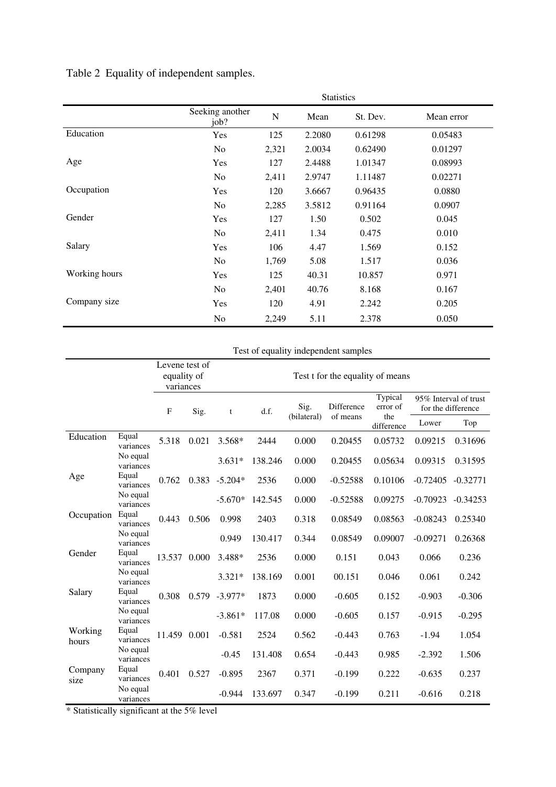|               | <b>Statistics</b>       |             |        |          |            |  |  |
|---------------|-------------------------|-------------|--------|----------|------------|--|--|
|               | Seeking another<br>job? | $\mathbf N$ | Mean   | St. Dev. | Mean error |  |  |
| Education     | Yes                     | 125         | 2.2080 | 0.61298  | 0.05483    |  |  |
|               | N <sub>o</sub>          | 2,321       | 2.0034 | 0.62490  | 0.01297    |  |  |
| Age           | Yes                     | 127         | 2.4488 | 1.01347  | 0.08993    |  |  |
|               | N <sub>o</sub>          | 2,411       | 2.9747 | 1.11487  | 0.02271    |  |  |
| Occupation    | Yes                     | 120         | 3.6667 | 0.96435  | 0.0880     |  |  |
|               | No                      | 2,285       | 3.5812 | 0.91164  | 0.0907     |  |  |
| Gender        | Yes                     | 127         | 1.50   | 0.502    | 0.045      |  |  |
|               | N <sub>o</sub>          | 2,411       | 1.34   | 0.475    | 0.010      |  |  |
| Salary        | Yes                     | 106         | 4.47   | 1.569    | 0.152      |  |  |
|               | No                      | 1,769       | 5.08   | 1.517    | 0.036      |  |  |
| Working hours | Yes                     | 125         | 40.31  | 10.857   | 0.971      |  |  |
|               | N <sub>o</sub>          | 2,401       | 40.76  | 8.168    | 0.167      |  |  |
| Company size  | Yes                     | 120         | 4.91   | 2.242    | 0.205      |  |  |
|               | No                      | 2,249       | 5.11   | 2.378    | 0.050      |  |  |

Table 2 Equality of independent samples.

### Test of equality independent samples

|                  | Levene test of        |             |       |                  |                                  |             |            |                     |                    |                       |  |
|------------------|-----------------------|-------------|-------|------------------|----------------------------------|-------------|------------|---------------------|--------------------|-----------------------|--|
|                  |                       | equality of |       |                  | Test t for the equality of means |             |            |                     |                    |                       |  |
|                  |                       | variances   |       |                  |                                  |             |            |                     |                    |                       |  |
|                  |                       | F           | Sig.  | t                | d.f.                             | Sig.        | Difference | Typical<br>error of | for the difference | 95% Interval of trust |  |
|                  |                       |             |       |                  |                                  | (bilateral) | of means   | the<br>difference   | Lower              | Top                   |  |
| Education        | Equal<br>variances    | 5.318       | 0.021 | 3.568*           | 2444                             | 0.000       | 0.20455    | 0.05732             | 0.09215            | 0.31696               |  |
|                  | No equal<br>variances |             |       | $3.631*$         | 138.246                          | 0.000       | 0.20455    | 0.05634             | 0.09315            | 0.31595               |  |
| Age              | Equal<br>variances    | 0.762       | 0.383 | $-5.204*$        | 2536                             | 0.000       | $-0.52588$ | 0.10106             | $-0.72405$         | $-0.32771$            |  |
|                  | No equal<br>variances |             |       | $-5.670*$        | 142.545                          | 0.000       | $-0.52588$ | 0.09275             | $-0.70923$         | $-0.34253$            |  |
| Occupation       | Equal<br>variances    | 0.443       | 0.506 | 0.998            | 2403                             | 0.318       | 0.08549    | 0.08563             | $-0.08243$         | 0.25340               |  |
|                  | No equal<br>variances |             |       | 0.949            | 130.417                          | 0.344       | 0.08549    | 0.09007             | $-0.09271$         | 0.26368               |  |
| Gender           | Equal<br>variances    | 13.537      | 0.000 | 3.488*           | 2536                             | 0.000       | 0.151      | 0.043               | 0.066              | 0.236                 |  |
|                  | No equal<br>variances |             |       | $3.321*$         | 138.169                          | 0.001       | 00.151     | 0.046               | 0.061              | 0.242                 |  |
| Salary           | Equal<br>variances    | 0.308       |       | $0.579 - 3.977*$ | 1873                             | 0.000       | $-0.605$   | 0.152               | $-0.903$           | $-0.306$              |  |
|                  | No equal<br>variances |             |       | $-3.861*$        | 117.08                           | 0.000       | $-0.605$   | 0.157               | $-0.915$           | $-0.295$              |  |
| Working<br>hours | Equal<br>variances    | 11.459      | 0.001 | $-0.581$         | 2524                             | 0.562       | $-0.443$   | 0.763               | $-1.94$            | 1.054                 |  |
|                  | No equal<br>variances |             |       | $-0.45$          | 131.408                          | 0.654       | $-0.443$   | 0.985               | $-2.392$           | 1.506                 |  |
| Company<br>size  | Equal<br>variances    | 0.401       | 0.527 | $-0.895$         | 2367                             | 0.371       | $-0.199$   | 0.222               | $-0.635$           | 0.237                 |  |
|                  | No equal<br>variances |             |       | $-0.944$         | 133.697                          | 0.347       | $-0.199$   | 0.211               | $-0.616$           | 0.218                 |  |

\* Statistically significant at the 5% level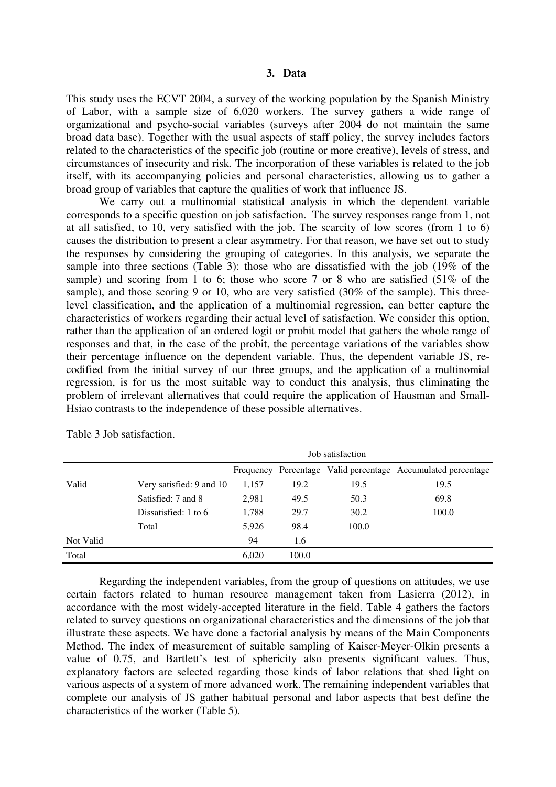### **3. Data**

This study uses the ECVT 2004, a survey of the working population by the Spanish Ministry of Labor, with a sample size of 6,020 workers. The survey gathers a wide range of organizational and psycho-social variables (surveys after 2004 do not maintain the same broad data base). Together with the usual aspects of staff policy, the survey includes factors related to the characteristics of the specific job (routine or more creative), levels of stress, and circumstances of insecurity and risk. The incorporation of these variables is related to the job itself, with its accompanying policies and personal characteristics, allowing us to gather a broad group of variables that capture the qualities of work that influence JS.

We carry out a multinomial statistical analysis in which the dependent variable corresponds to a specific question on job satisfaction. The survey responses range from 1, not at all satisfied, to 10, very satisfied with the job. The scarcity of low scores (from 1 to 6) causes the distribution to present a clear asymmetry. For that reason, we have set out to study the responses by considering the grouping of categories. In this analysis, we separate the sample into three sections (Table 3): those who are dissatisfied with the job (19% of the sample) and scoring from 1 to 6; those who score 7 or 8 who are satisfied (51% of the sample), and those scoring 9 or 10, who are very satisfied (30% of the sample). This threelevel classification, and the application of a multinomial regression, can better capture the characteristics of workers regarding their actual level of satisfaction. We consider this option, rather than the application of an ordered logit or probit model that gathers the whole range of responses and that, in the case of the probit, the percentage variations of the variables show their percentage influence on the dependent variable. Thus, the dependent variable JS, recodified from the initial survey of our three groups, and the application of a multinomial regression, is for us the most suitable way to conduct this analysis, thus eliminating the problem of irrelevant alternatives that could require the application of Hausman and Small-Hsiao contrasts to the independence of these possible alternatives.

|           |                          | Job satisfaction |       |       |                                                              |  |  |
|-----------|--------------------------|------------------|-------|-------|--------------------------------------------------------------|--|--|
|           |                          |                  |       |       | Frequency Percentage Valid percentage Accumulated percentage |  |  |
| Valid     | Very satisfied: 9 and 10 | 1,157            | 19.2  | 19.5  | 19.5                                                         |  |  |
|           | Satisfied: 7 and 8       | 2,981            | 49.5  | 50.3  | 69.8                                                         |  |  |
|           | Dissatisfied: 1 to 6     | 1,788            | 29.7  | 30.2  | 100.0                                                        |  |  |
|           | Total                    | 5.926            | 98.4  | 100.0 |                                                              |  |  |
| Not Valid |                          | 94               | 1.6   |       |                                                              |  |  |
| Total     |                          | 6.020            | 100.0 |       |                                                              |  |  |

Table 3 Job satisfaction.

Regarding the independent variables, from the group of questions on attitudes, we use certain factors related to human resource management taken from Lasierra (2012), in accordance with the most widely-accepted literature in the field. Table 4 gathers the factors related to survey questions on organizational characteristics and the dimensions of the job that illustrate these aspects. We have done a factorial analysis by means of the Main Components Method. The index of measurement of suitable sampling of Kaiser-Meyer-Olkin presents a value of 0.75, and Bartlett's test of sphericity also presents significant values. Thus, explanatory factors are selected regarding those kinds of labor relations that shed light on various aspects of a system of more advanced work. The remaining independent variables that complete our analysis of JS gather habitual personal and labor aspects that best define the characteristics of the worker (Table 5).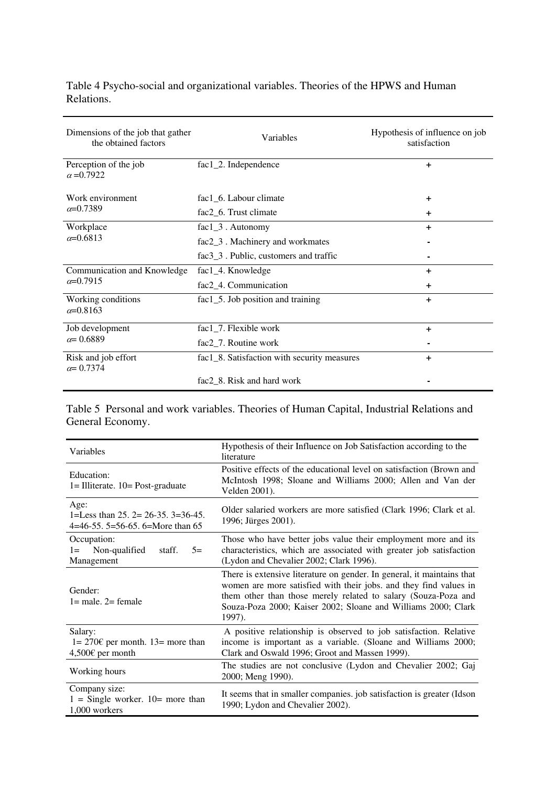Table 4 Psycho-social and organizational variables. Theories of the HPWS and Human Relations.

| Dimensions of the job that gather<br>the obtained factors | Variables                                   | Hypothesis of influence on job<br>satisfaction |
|-----------------------------------------------------------|---------------------------------------------|------------------------------------------------|
| Perception of the job<br>$\alpha = 0.7922$                | fac1_2. Independence                        | $\ddot{}$                                      |
| Work environment                                          | fac1_6. Labour climate                      | $\ddot{}$                                      |
| $\alpha = 0.7389$                                         | fac2_6. Trust climate                       | +                                              |
| Workplace                                                 | fac1_3. Autonomy                            | +                                              |
| $\alpha = 0.6813$                                         | fac2_3. Machinery and workmates             |                                                |
|                                                           | $fac3_3$ . Public, customers and traffic    |                                                |
| Communication and Knowledge                               | fac1_4. Knowledge                           | $\ddot{}$                                      |
| $\alpha = 0.7915$                                         | fac2_4. Communication                       | $\ddot{}$                                      |
| Working conditions<br>$\alpha = 0.8163$                   | fac1 $\angle$ 5. Job position and training  | $\ddot{}$                                      |
| Job development                                           | fac1_7. Flexible work                       | $\ddot{}$                                      |
| $\alpha = 0.6889$                                         | fac2_7. Routine work                        |                                                |
| Risk and job effort<br>$\alpha = 0.7374$                  | fac1_8. Satisfaction with security measures | $\ddot{}$                                      |
|                                                           | fac2_8. Risk and hard work                  |                                                |

Table 5 Personal and work variables. Theories of Human Capital, Industrial Relations and General Economy.

| Variables                                                                              | Hypothesis of their Influence on Job Satisfaction according to the<br>literature                                                                                                                                                                                                         |  |  |
|----------------------------------------------------------------------------------------|------------------------------------------------------------------------------------------------------------------------------------------------------------------------------------------------------------------------------------------------------------------------------------------|--|--|
| Education:<br>$l = \text{Illustrate}$ . $10 = \text{Post-graduate}$                    | Positive effects of the educational level on satisfaction (Brown and<br>McIntosh 1998; Sloane and Williams 2000; Allen and Van der<br>Velden 2001).                                                                                                                                      |  |  |
| Age:<br>1=Less than $25$ . $2=26-35$ . $3=36-45$ .<br>4=46-55. 5=56-65. 6=More than 65 | Older salaried workers are more satisfied (Clark 1996; Clark et al.<br>1996; Jürges 2001).                                                                                                                                                                                               |  |  |
| Occupation:<br>Non-qualified<br>staff.<br>$5=$<br>$l =$<br>Management                  | Those who have better jobs value their employment more and its<br>characteristics, which are associated with greater job satisfaction<br>(Lydon and Chevalier 2002; Clark 1996).                                                                                                         |  |  |
| Gender:<br>$l = male$ . $2 = female$                                                   | There is extensive literature on gender. In general, it maintains that<br>women are more satisfied with their jobs, and they find values in<br>them other than those merely related to salary (Souza-Poza and<br>Souza-Poza 2000; Kaiser 2002; Sloane and Williams 2000; Clark<br>1997). |  |  |
| Salary:<br>$1 = 270 \epsilon$ per month. $13 =$ more than<br>4,500€ per month          | A positive relationship is observed to job satisfaction. Relative<br>income is important as a variable. (Sloane and Williams 2000;<br>Clark and Oswald 1996; Groot and Massen 1999).                                                                                                     |  |  |
| Working hours                                                                          | The studies are not conclusive (Lydon and Chevalier 2002; Gaj<br>2000; Meng 1990).                                                                                                                                                                                                       |  |  |
| Company size:<br>$1 =$ Single worker. $10=$ more than<br>1,000 workers                 | It seems that in smaller companies, job satisfaction is greater (Idson<br>1990; Lydon and Chevalier 2002).                                                                                                                                                                               |  |  |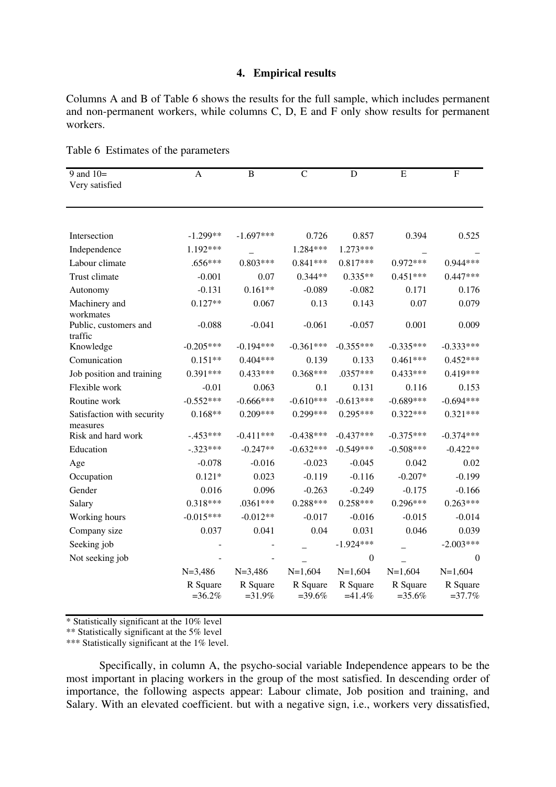### **4. Empirical results**

Columns A and B of Table 6 shows the results for the full sample, which includes permanent and non-permanent workers, while columns C, D, E and F only show results for permanent workers.

| 9 and $10=$                      | $\mathbf{A}$         | $\, {\bf B}$         | $\mathcal{C}$        | D                    | E                    | $\overline{F}$       |
|----------------------------------|----------------------|----------------------|----------------------|----------------------|----------------------|----------------------|
| Very satisfied                   |                      |                      |                      |                      |                      |                      |
|                                  |                      |                      |                      |                      |                      |                      |
|                                  |                      |                      |                      |                      |                      |                      |
| Intersection                     | $-1.299**$           | $-1.697***$          | 0.726                | 0.857                | 0.394                | 0.525                |
| Independence                     | 1.192***             |                      | 1.284***             | 1.273***             |                      |                      |
| Labour climate                   | $.656***$            | $0.803***$           | $0.841***$           | $0.817***$           | $0.972***$           | $0.944***$           |
| Trust climate                    | $-0.001$             | 0.07                 | $0.344**$            | $0.335**$            | $0.451***$           | $0.447***$           |
| Autonomy                         | $-0.131$             | $0.161**$            | $-0.089$             | $-0.082$             | 0.171                | 0.176                |
| Machinery and                    | $0.127**$            | 0.067                | 0.13                 | 0.143                | 0.07                 | 0.079                |
| workmates                        |                      |                      |                      |                      |                      |                      |
| Public, customers and<br>traffic | $-0.088$             | $-0.041$             | $-0.061$             | $-0.057$             | 0.001                | 0.009                |
| Knowledge                        | $-0.205***$          | $-0.194***$          | $-0.361***$          | $-0.355***$          | $-0.335***$          | $-0.333***$          |
| Comunication                     | $0.151**$            | $0.404***$           | 0.139                | 0.133                | $0.461***$           | $0.452***$           |
| Job position and training        | $0.391***$           | $0.433***$           | $0.368***$           | $.0357***$           | $0.433***$           | $0.419***$           |
| Flexible work                    | $-0.01$              | 0.063                | 0.1                  | 0.131                | 0.116                | 0.153                |
| Routine work                     | $-0.552***$          | $-0.666***$          | $-0.610***$          | $-0.613***$          | $-0.689***$          | $-0.694***$          |
| Satisfaction with security       | $0.168**$            | $0.209***$           | $0.299***$           | 0.295***             | $0.322***$           | $0.321***$           |
| measures                         |                      |                      |                      |                      |                      |                      |
| Risk and hard work               | $-.453***$           | $-0.411***$          | $-0.438***$          | $-0.437***$          | $-0.375***$          | $-0.374***$          |
| Education                        | $-.323***$           | $-0.247**$           | $-0.632***$          | $-0.549***$          | $-0.508***$          | $-0.422**$           |
| Age                              | $-0.078$             | $-0.016$             | $-0.023$             | $-0.045$             | 0.042                | 0.02                 |
| Occupation                       | $0.121*$             | 0.023                | $-0.119$             | $-0.116$             | $-0.207*$            | $-0.199$             |
| Gender                           | 0.016                | 0.096                | $-0.263$             | $-0.249$             | $-0.175$             | $-0.166$             |
| Salary                           | $0.318***$           | $.0361***$           | $0.288***$           | $0.258***$           | $0.296***$           | $0.263***$           |
| Working hours                    | $-0.015***$          | $-0.012**$           | $-0.017$             | $-0.016$             | $-0.015$             | $-0.014$             |
| Company size                     | 0.037                | 0.041                | 0.04                 | 0.031                | 0.046                | 0.039                |
| Seeking job                      |                      |                      |                      | $-1.924***$          |                      | $-2.003***$          |
| Not seeking job                  |                      |                      |                      | $\overline{0}$       |                      | $\boldsymbol{0}$     |
|                                  | $N=3,486$            | $N=3,486$            | $N=1,604$            | $N=1,604$            | $N=1,604$            | $N=1,604$            |
|                                  | R Square<br>$=36.2%$ | R Square<br>$=31.9%$ | R Square<br>$=39.6%$ | R Square<br>$=41.4%$ | R Square<br>$=35.6%$ | R Square<br>$=37.7%$ |

Table 6 Estimates of the parameters

\* Statistically significant at the 10% level

\*\* Statistically significant at the 5% level

\*\*\* Statistically significant at the 1% level.

Specifically, in column A, the psycho-social variable Independence appears to be the most important in placing workers in the group of the most satisfied. In descending order of importance, the following aspects appear: Labour climate, Job position and training, and Salary. With an elevated coefficient. but with a negative sign, i.e., workers very dissatisfied,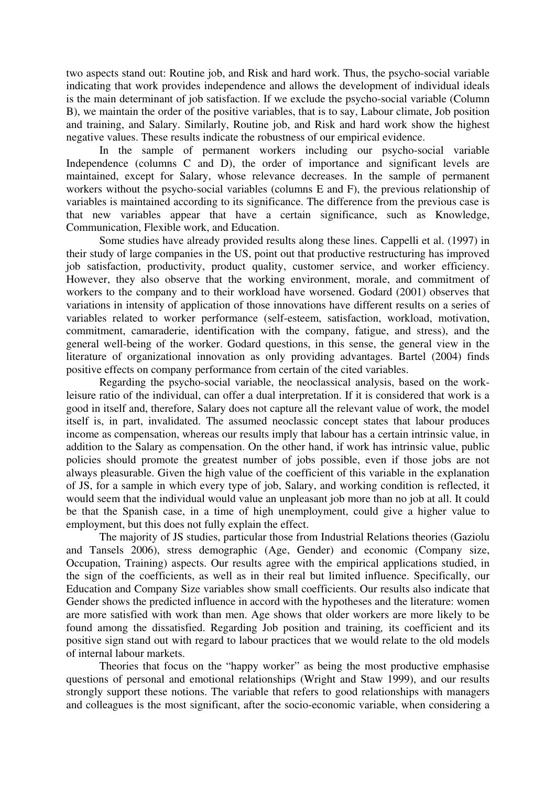two aspects stand out: Routine job, and Risk and hard work. Thus, the psycho-social variable indicating that work provides independence and allows the development of individual ideals is the main determinant of job satisfaction. If we exclude the psycho-social variable (Column B), we maintain the order of the positive variables, that is to say, Labour climate, Job position and training, and Salary. Similarly, Routine job, and Risk and hard work show the highest negative values. These results indicate the robustness of our empirical evidence.

In the sample of permanent workers including our psycho-social variable Independence (columns C and D), the order of importance and significant levels are maintained, except for Salary, whose relevance decreases. In the sample of permanent workers without the psycho-social variables (columns E and F), the previous relationship of variables is maintained according to its significance. The difference from the previous case is that new variables appear that have a certain significance, such as Knowledge, Communication, Flexible work, and Education.

Some studies have already provided results along these lines. Cappelli et al. (1997) in their study of large companies in the US, point out that productive restructuring has improved job satisfaction, productivity, product quality, customer service, and worker efficiency. However, they also observe that the working environment, morale, and commitment of workers to the company and to their workload have worsened. Godard (2001) observes that variations in intensity of application of those innovations have different results on a series of variables related to worker performance (self-esteem, satisfaction, workload, motivation, commitment, camaraderie, identification with the company, fatigue, and stress), and the general well-being of the worker. Godard questions, in this sense, the general view in the literature of organizational innovation as only providing advantages. Bartel (2004) finds positive effects on company performance from certain of the cited variables.

Regarding the psycho-social variable, the neoclassical analysis, based on the workleisure ratio of the individual, can offer a dual interpretation. If it is considered that work is a good in itself and, therefore, Salary does not capture all the relevant value of work, the model itself is, in part, invalidated. The assumed neoclassic concept states that labour produces income as compensation, whereas our results imply that labour has a certain intrinsic value, in addition to the Salary as compensation. On the other hand, if work has intrinsic value, public policies should promote the greatest number of jobs possible, even if those jobs are not always pleasurable. Given the high value of the coefficient of this variable in the explanation of JS, for a sample in which every type of job, Salary, and working condition is reflected, it would seem that the individual would value an unpleasant job more than no job at all. It could be that the Spanish case, in a time of high unemployment, could give a higher value to employment, but this does not fully explain the effect.

The majority of JS studies, particular those from Industrial Relations theories (Gaziolu and Tansels 2006), stress demographic (Age, Gender) and economic (Company size, Occupation, Training) aspects. Our results agree with the empirical applications studied, in the sign of the coefficients, as well as in their real but limited influence. Specifically, our Education and Company Size variables show small coefficients. Our results also indicate that Gender shows the predicted influence in accord with the hypotheses and the literature: women are more satisfied with work than men. Age shows that older workers are more likely to be found among the dissatisfied. Regarding Job position and training*,* its coefficient and its positive sign stand out with regard to labour practices that we would relate to the old models of internal labour markets.

Theories that focus on the "happy worker" as being the most productive emphasise questions of personal and emotional relationships (Wright and Staw 1999), and our results strongly support these notions. The variable that refers to good relationships with managers and colleagues is the most significant, after the socio-economic variable, when considering a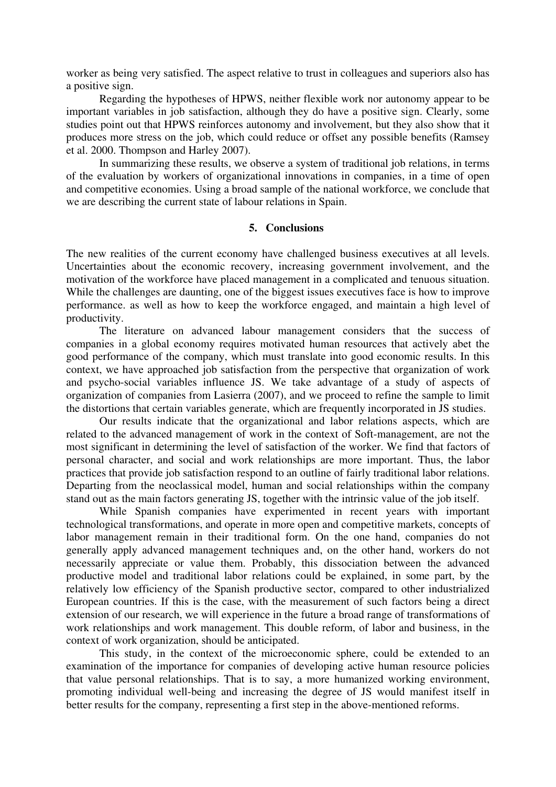worker as being very satisfied. The aspect relative to trust in colleagues and superiors also has a positive sign.

Regarding the hypotheses of HPWS, neither flexible work nor autonomy appear to be important variables in job satisfaction, although they do have a positive sign. Clearly, some studies point out that HPWS reinforces autonomy and involvement, but they also show that it produces more stress on the job, which could reduce or offset any possible benefits (Ramsey et al. 2000. Thompson and Harley 2007).

In summarizing these results, we observe a system of traditional job relations, in terms of the evaluation by workers of organizational innovations in companies, in a time of open and competitive economies. Using a broad sample of the national workforce, we conclude that we are describing the current state of labour relations in Spain.

### **5. Conclusions**

The new realities of the current economy have challenged business executives at all levels. Uncertainties about the economic recovery, increasing government involvement, and the motivation of the workforce have placed management in a complicated and tenuous situation. While the challenges are daunting, one of the biggest issues executives face is how to improve performance. as well as how to keep the workforce engaged, and maintain a high level of productivity.

The literature on advanced labour management considers that the success of companies in a global economy requires motivated human resources that actively abet the good performance of the company, which must translate into good economic results. In this context, we have approached job satisfaction from the perspective that organization of work and psycho-social variables influence JS. We take advantage of a study of aspects of organization of companies from Lasierra (2007), and we proceed to refine the sample to limit the distortions that certain variables generate, which are frequently incorporated in JS studies.

Our results indicate that the organizational and labor relations aspects, which are related to the advanced management of work in the context of Soft-management, are not the most significant in determining the level of satisfaction of the worker. We find that factors of personal character, and social and work relationships are more important. Thus, the labor practices that provide job satisfaction respond to an outline of fairly traditional labor relations. Departing from the neoclassical model, human and social relationships within the company stand out as the main factors generating JS, together with the intrinsic value of the job itself.

While Spanish companies have experimented in recent years with important technological transformations, and operate in more open and competitive markets, concepts of labor management remain in their traditional form. On the one hand, companies do not generally apply advanced management techniques and, on the other hand, workers do not necessarily appreciate or value them. Probably, this dissociation between the advanced productive model and traditional labor relations could be explained, in some part, by the relatively low efficiency of the Spanish productive sector, compared to other industrialized European countries. If this is the case, with the measurement of such factors being a direct extension of our research, we will experience in the future a broad range of transformations of work relationships and work management. This double reform, of labor and business, in the context of work organization, should be anticipated.

This study, in the context of the microeconomic sphere, could be extended to an examination of the importance for companies of developing active human resource policies that value personal relationships. That is to say, a more humanized working environment, promoting individual well-being and increasing the degree of JS would manifest itself in better results for the company, representing a first step in the above-mentioned reforms.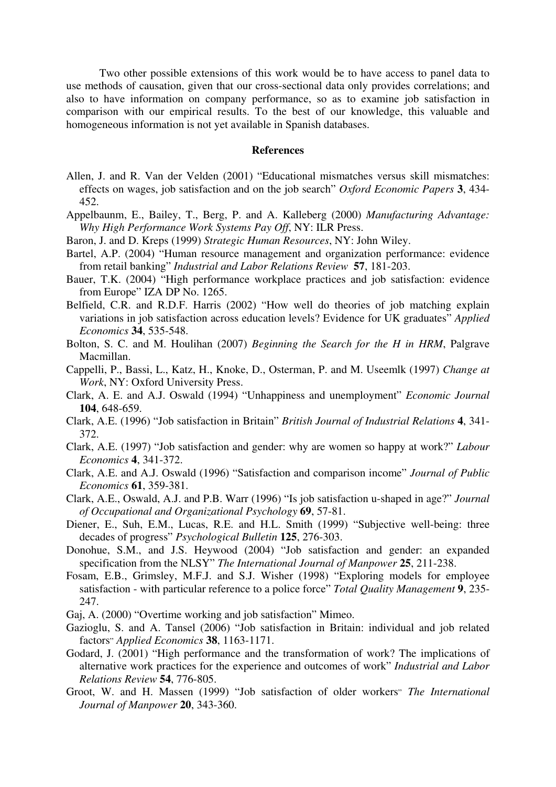Two other possible extensions of this work would be to have access to panel data to use methods of causation, given that our cross-sectional data only provides correlations; and also to have information on company performance, so as to examine job satisfaction in comparison with our empirical results. To the best of our knowledge, this valuable and homogeneous information is not yet available in Spanish databases.

#### **References**

- Allen, J. and R. Van der Velden (2001) "Educational mismatches versus skill mismatches: effects on wages, job satisfaction and on the job search" *Oxford Economic Papers* **3**, 434- 452.
- Appelbaunm, E., Bailey, T., Berg, P. and A. Kalleberg (2000) *Manufacturing Advantage: Why High Performance Work Systems Pay Off*, NY: ILR Press.
- Baron, J. and D. Kreps (1999) *Strategic Human Resources*, NY: John Wiley.
- Bartel, A.P. (2004) "Human resource management and organization performance: evidence from retail banking" *Industrial and Labor Relations Review* **57**, 181-203.
- Bauer, T.K. (2004) "High performance workplace practices and job satisfaction: evidence from Europe" IZA DP No. 1265.
- Belfield, C.R. and R.D.F. Harris (2002) "How well do theories of job matching explain variations in job satisfaction across education levels? Evidence for UK graduates" *Applied Economics* **34**, 535-548.
- Bolton, S. C. and M. Houlihan (2007) *Beginning the Search for the H in HRM*, Palgrave Macmillan.
- Cappelli, P., Bassi, L., Katz, H., Knoke, D., Osterman, P. and M. Useemlk (1997) *Change at Work*, NY: Oxford University Press.
- Clark, A. E. and A.J. Oswald (1994) "Unhappiness and unemployment" *Economic Journal* **104**, 648-659.
- Clark, A.E. (1996) "Job satisfaction in Britain" *British Journal of Industrial Relations* **4**, 341- 372.
- Clark, A.E. (1997) "Job satisfaction and gender: why are women so happy at work?" *Labour Economics* **4**, 341-372.
- Clark, A.E. and A.J. Oswald (1996) "Satisfaction and comparison income" *Journal of Public Economics* **61**, 359-381.
- Clark, A.E., Oswald, A.J. and P.B. Warr (1996) "Is job satisfaction u-shaped in age?" *Journal of Occupational and Organizational Psychology* **69**, 57-81.
- Diener, E., Suh, E.M., Lucas, R.E. and H.L. Smith (1999) "Subjective well-being: three decades of progress" *Psychological Bulletin* **125**, 276-303.
- Donohue, S.M., and J.S. Heywood (2004) "Job satisfaction and gender: an expanded specification from the NLSY" *The International Journal of Manpower* **25**, 211-238.
- Fosam, E.B., Grimsley, M.F.J. and S.J. Wisher (1998) "Exploring models for employee satisfaction - with particular reference to a police force" *Total Quality Management* **9**, 235- 247.
- Gaj, A. (2000) "Overtime working and job satisfaction" Mimeo.
- Gazioglu, S. and A. Tansel (2006) "Job satisfaction in Britain: individual and job related factors" *Applied Economics* **38**, 1163-1171.
- Godard, J. (2001) "High performance and the transformation of work? The implications of alternative work practices for the experience and outcomes of work" *Industrial and Labor Relations Review* **54**, 776-805.
- Groot, W. and H. Massen (1999) "Job satisfaction of older workers" *The International Journal of Manpower* **20**, 343-360.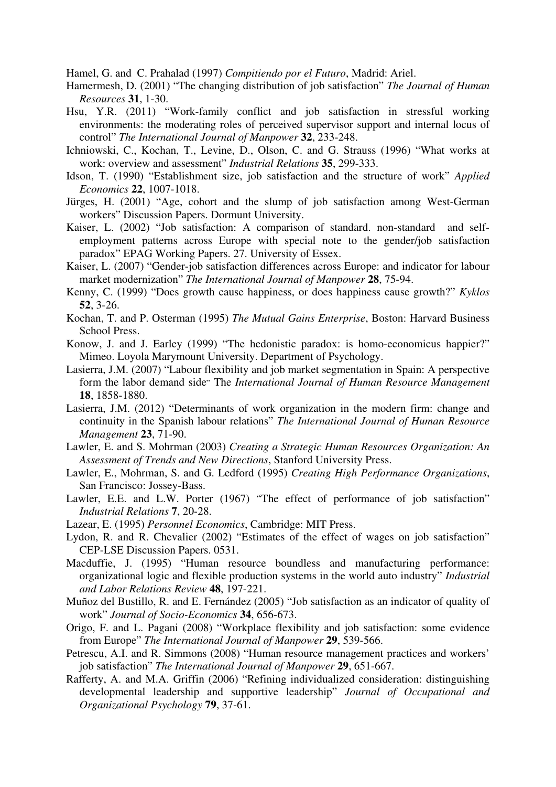Hamel, G. and C. Prahalad (1997) *Compitiendo por el Futuro*, Madrid: Ariel.

- Hamermesh, D. (2001) "The changing distribution of job satisfaction" *The Journal of Human Resources* **31**, 1-30.
- Hsu, Y.R. (2011) "Work-family conflict and job satisfaction in stressful working environments: the moderating roles of perceived supervisor support and internal locus of control" *The International Journal of Manpower* **32**, 233-248.
- Ichniowski, C., Kochan, T., Levine, D., Olson, C. and G. Strauss (1996) "What works at work: overview and assessment" *Industrial Relations* **35**, 299-333.
- Idson, T. (1990) "Establishment size, job satisfaction and the structure of work" *Applied Economics* **22**, 1007-1018.
- Jürges, H. (2001) "Age, cohort and the slump of job satisfaction among West-German workers" Discussion Papers. Dormunt University.
- Kaiser, L. (2002) "Job satisfaction: A comparison of standard. non-standard and selfemployment patterns across Europe with special note to the gender/job satisfaction paradox" EPAG Working Papers. 27. University of Essex.
- Kaiser, L. (2007) "Gender-job satisfaction differences across Europe: and indicator for labour market modernization" *The International Journal of Manpower* **28**, 75-94.
- Kenny, C. (1999) "Does growth cause happiness, or does happiness cause growth?" *Kyklos* **52**, 3-26.
- Kochan, T. and P. Osterman (1995) *The Mutual Gains Enterprise*, Boston: Harvard Business School Press.
- Konow, J. and J. Earley (1999) "The hedonistic paradox: is homo-economicus happier?" Mimeo. Loyola Marymount University. Department of Psychology.
- Lasierra, J.M. (2007) "Labour flexibility and job market segmentation in Spain: A perspective form the labor demand side" The *International Journal of Human Resource Management* **18**, 1858-1880.
- Lasierra, J.M. (2012) "Determinants of work organization in the modern firm: change and continuity in the Spanish labour relations" *The International Journal of Human Resource Management* **23**, 71-90.
- Lawler, E. and S. Mohrman (2003) *Creating a Strategic Human Resources Organization: An Assessment of Trends and New Directions*, Stanford University Press.
- Lawler, E., Mohrman, S. and G. Ledford (1995) *Creating High Performance Organizations*, San Francisco: Jossey-Bass.
- Lawler, E.E. and L.W. Porter (1967) "The effect of performance of job satisfaction" *Industrial Relations* **7**, 20-28.
- Lazear, E. (1995) *Personnel Economics*, Cambridge: MIT Press.
- Lydon, R. and R. Chevalier (2002) "Estimates of the effect of wages on job satisfaction" CEP-LSE Discussion Papers. 0531.
- Macduffie, J. (1995) "Human resource boundless and manufacturing performance: organizational logic and flexible production systems in the world auto industry" *Industrial and Labor Relations Review* **48**, 197-221.
- Muñoz del Bustillo, R. and E. Fernández (2005) "Job satisfaction as an indicator of quality of work" *Journal of Socio-Economics* **34**, 656-673.
- Origo, F. and L. Pagani (2008) "Workplace flexibility and job satisfaction: some evidence from Europe" *The International Journal of Manpower* **29**, 539-566.
- Petrescu, A.I. and R. Simmons (2008) "Human resource management practices and workers' job satisfaction" *The International Journal of Manpower* **29**, 651-667.
- Rafferty, A. and M.A. Griffin (2006) "Refining individualized consideration: distinguishing developmental leadership and supportive leadership" *Journal of Occupational and Organizational Psychology* **79**, 37-61.